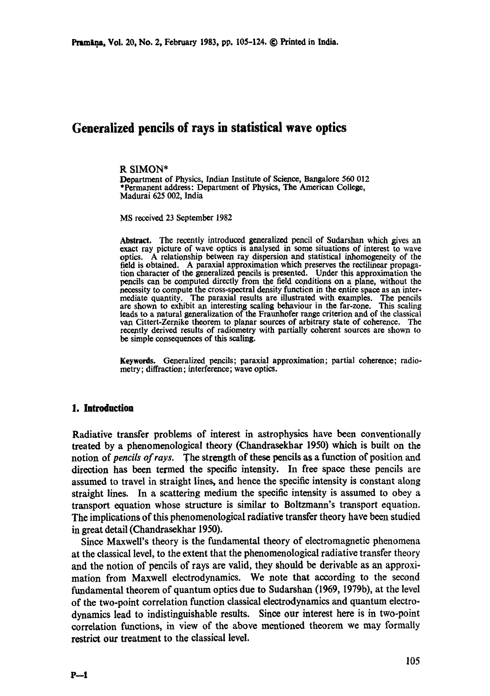# **Generalized pencils of rays in statistical wave optics**

#### R SIMON\*

Department of Physics, Indian Institute of Science, Bangalore 560 012 \*Permanent address: Department of Physics, The American College, Madurai 625 002, India

MS received 23 September 1982

**Abstract.** The recently introduced generalized pencil of Sudarshan which gives an exact ray picture of wave optics is analysed in some situations of interest to wave optics. A relationship between ray dispersion and statistical inhomogeneity of the field is obtained. A paraxial approximation which preserves the rectilinear propagation character of the generalized pencils is presented. Under this approximation the pencils can be computed directly from the field conditions on a plane, without the necessity to compute the cross-spectral density function in the entire space as an intermediate quantity. The paraxial results are illustrated with examples. The pencils are shown to exhibit an interesting scaling behaviour in the far-zone. This scaling leads to a natural generalization of the Fraunhofer range criterion and of the classical van Cittert-Zemike theorem to planar sources of arbitrary state of coherence. The recently derived results of radiometry with partially coherent sources are shown to be simple consequences of this scaling.

Keywords. Generalized pencils; paraxial approximation; partial coherence; radiometry; diffraction; interference; wave optics.

## **1. Introduction**

Radiative transfer problems of interest in astrophysics have been conventionally treated by a phenomenological theory (Chandrasekhar 1950) which is built on the notion of *pencils of rays..The* strength of these pencils as a function of position and direction has been termed the specific intensity. In free space these pencils are assumed to travel in stiaight lines, and hence the specific intensity is constant along straight lines. In a scattering medium the specific intensity is assumed to obey a transport equation whose structure is similar to Boltzmann's transport equation. The implications of this phenomenological radiative transfer theory have been studied in great detail (Chandrasekhar 1950).

Since Maxwell's theory is the fundamental theory of electromagnetic phenomena at the classical level, to the extent that the phenomenological radiative transfer theory and the notion of pencils of rays are valid, they should be derivable as an approximation from Maxwell electrodynamics. We note that according to the second fundamental theorem of quantum optics due to Sudarshan (1969, 1979b), at the level of the two-point correlation function classical elcctrodynamics and quantum electrodynamics lead to indistinguishable results. Since our interest here is in two-point correlation functions, in view of the above mentioned theorem we may formally restrict out treatment to the classical level.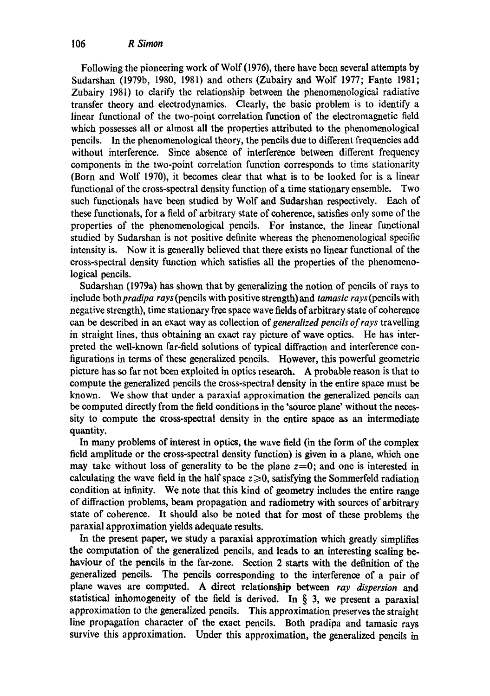Following the pioneering work of Wolf (1976), there have been several attempts by Sudarshan (1979b, 1980, 1981) and others (Zubairy and Wolf 1977; Fante 1981; Zubairy 1981) to clarify the relationship between the phenomenological radiative transfer theory and dectrodynamics. Clearly, the basic problem is to identify a linear functional of the two-point correlation function of the electromagnetic field which possesses all or almost all the properties attributed to the phenomenological pencils. In the phenomenological theory, the pencils due to different frequencies add without interference. Since absence of interference between different frequency components in the two-point correlation function corresponds to time stationarity (Born and Wolf 1970), it becomes clear that what is to be looked for is a linear functional of the cross-spectral density function of a time stationary ensemble. Two such functionals have been studied by Wolf and Sudarshan respectively. Each of these functionals, for a field of arbitrary state of coherence, satisfies only some of the properties of the phenomenological pencils. For instance, the linear functional studied by Sudarshan is not positive definite whereas the phenomenological specific intensity is. Now it is generally believed that there exists no linear functional of the cross-spectral density function which satisfies all the properties of the phenomenological pencils.

Sudarshan (1979a) has shown that by generalizing the notion of pencils of rays to include *bothpradipa rays* (pencils with positive strength) and *tamasic rays* (pencils with negative strength), time stationary free space wave fields of arbitrary state of coherence can be described in an exact way as collection of *generalized pencils of rays* travelling in straight lines, thus obtaining an exact ray picture of wave optics. He has interpreted the well-known far-field solutions of typical diffraction and interference configurations in terms of these generalized pencils. However, this powerful geometric picture has so far not been exploited in optics research. A probable reason is that to compute the generalized pencils the cross-spectral density in the entire space must be known. We show that under a paraxial approximation the generalized pencils can be computed directly from the field conditions in the 'source plane' without the necessity to compute the cross-spectial density in the entire space as an intermediate quantity.

In many problems of interest in optics, the wave field (in the form of the complex field amplitude or the cross-spectral density function) is given in a plane, which one may take without loss of generality to be the plane  $z=0$ ; and one is interested in calculating the wave field in the half space  $z \ge 0$ , satisfying the Sommerfeld radiation condition at infinity. We note that this kind of geometry includes the entire range of diffraction problems, beam propagation and radiometry with sources of arbitrary state of coherence. It should also be noted that for most of these problems the paraxial approximation yields adequate results.

In the present paper, we study a paraxial approximation which greatly simplifies the computation of the generalized pencils, and leads to an interesting scaling behaviour of the pencils in the far-zone. Section 2 starts with the definition of the generalized pencils. The pencils corresponding to the interference of a pair of plane waves are computed. A direct relationship between *ray dispersion and*  statistical inhomogeneity of the field is derived. In § 3, we present a paraxial approximation to the generalized pencils. This approximation preserves the straight line propagation character of the exact pencils. Both pradipa and tamasic rays survive this approximation. Under this approximation, the generalized pencils in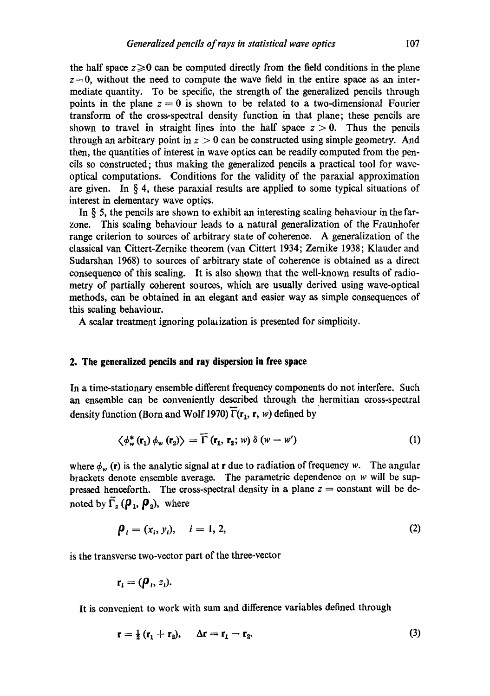the half space  $z\geq 0$  can be computed directly from the field conditions in the plane  $z=0$ , without the need to compute the wave field in the entire space as an intermediate quantity. To be specific, the strength of the generalized pencils through points in the plane  $z = 0$  is shown to be related to a two-dimensional Fourier transform of the cross-spectral density function in that plane; these pencils are shown to travel in straight lines into the half space  $z > 0$ . Thus the pencils through an arbitrary point in  $z > 0$  can be constructed using simple geometry. And then, the quantities of interest in wave optics can be readily computed from the pencils so constructed; thus making the generalized pencils a practical tool for waveoptical computations. Conditions for the validity of the paraxial approximation are given. In  $\S 4$ , these paraxial results are applied to some typical situations of interest in elementary wave optics.

In  $\S$  5, the pencils are shown to exhibit an interesting scaling behaviour in the farzone. This scaling behaviour leads to a natural generalization of the Fraunhofer range criterion to sources of arbitrary state of coherence. A generalization of the classical van Cittert-Zernike theorem (van Cittert 1934; Zernike 1938; Klauder and Sudarshan 1968) to sources of arbitrary state of coherence is obtained as a direct consequence of this scaling. It is also shown that the well-known results of radiometry of partially coherent sources, which are usually derived using wave-optical methods, can be obtained in an degant and easier way as simple consequences of this scaling behaviour.

A scalar treatment ignoring polarization is presented for simplicity.

# **2. The generalized pencils and ray dispersion in free space**

In a time-stationary ensemble different frequency components do not interfere. Such an ensemble can be conveniently described through the hermitian cross-spectral density function (Born and Wolf 1970)  $\overline{\Gamma}(\mathbf{r}_1, \mathbf{r}, w)$  defined by

$$
\left\langle \phi_{w}^{*}(\mathbf{r}_{1})\phi_{w}(\mathbf{r}_{2})\right\rangle =\overline{\Gamma}(\mathbf{r}_{1},\mathbf{r}_{2};w)\,\delta\left(w-w'\right) \tag{1}
$$

where  $\phi_w$  (r) is the analytic signal at r due to radiation of frequency w. The angular brackets denote ensemble average. The parametric dependence on w will be suppressed henceforth. The cross-spectral density in a plane  $z =$  constant will be denoted by  $\overline{\Gamma}_z$  ( $\rho_1$ ,  $\rho_2$ ), where

$$
\boldsymbol{\rho}_i = (x_i, y_i), \quad i = 1, 2, \tag{2}
$$

is the transverse two-vector part of the three-vector

$$
\mathbf{r}_i = (\boldsymbol{\rho}_i, z_i).
$$

It is convenient to work with sum and difference variables defined through

$$
\mathbf{r} = \frac{1}{2} (\mathbf{r}_1 + \mathbf{r}_2), \quad \Delta \mathbf{r} = \mathbf{r}_1 - \mathbf{r}_2. \tag{3}
$$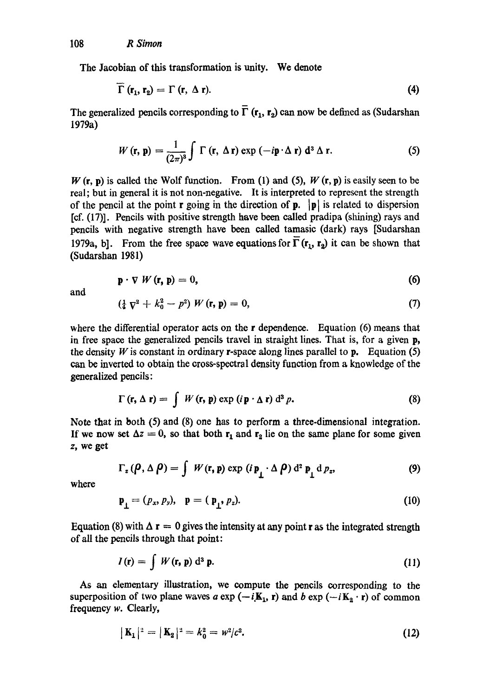The Jacobian of this transformation is unity. We denote

$$
\Gamma(\mathbf{r}_1,\mathbf{r}_2)=\Gamma(\mathbf{r},\,\Delta\,\mathbf{r}).\tag{4}
$$

The generalized pencils corresponding to  $\overline{\Gamma}$  (r<sub>1</sub>, r<sub>2</sub>) can now be defined as (Sudarshan 1979a)

$$
W(\mathbf{r},\mathbf{p})=\frac{1}{(2\pi)^3}\int \Gamma(\mathbf{r},\,\Delta\,\mathbf{r})\exp\left(-i\mathbf{p}\cdot\Delta\,\mathbf{r}\right)\,\mathrm{d}^3\,\Delta\,\mathbf{r}.\tag{5}
$$

 $W(\mathbf{r}, \mathbf{p})$  is called the Wolf function. From (1) and (5),  $W(\mathbf{r}, \mathbf{p})$  is easily seen to be real; but in general it is not non-negative. It is interpreted to represent the strength of the pencil at the point **r** going in the direction of **p**.  $|\mathbf{p}|$  is related to dispersion  $[cf. (17)]$ . Pencils with positive strength have been called pradipa (shining) rays and pencils with negative strength have been called tamasic (dark) rays [Sudarshan 1979a, b]. From the free space wave equations for  $\overline{\Gamma}(\mathbf{r}_1, \mathbf{r}_2)$  it can be shown that (Sudarshan 1981)

$$
\mathbf{p} \cdot \nabla \, W \left( \mathbf{r}, \, \mathbf{p} \right) = 0,\tag{6}
$$

and

$$
(\frac{1}{4}\nabla^2 + k_0^2 - p^2) W(\mathbf{r}, \mathbf{p}) = 0, \tag{7}
$$

where the differential operator acts on the r dependence. Equation (6) means that in free space the generalized pencils travel in straight lines. That is, for a given p, the density  $W$  is constant in ordinary r-space along lines parallel to p. Equation (5) can be inverted to obtain the cross-spectral density function from a knowledge of the generalized pencils:

$$
\Gamma(\mathbf{r}, \Delta \mathbf{r}) = \int W(\mathbf{r}, \mathbf{p}) \exp(i \mathbf{p} \cdot \Delta \mathbf{r}) d^3 p.
$$
 (8)

Note that in both (5) and (8) one has to perform a three-dimensional integration. If we now set  $\Delta z = 0$ , so that both  $r_1$  and  $r_2$  lie on the same plane for some given z, we get

$$
\Gamma_z(\boldsymbol{\rho}, \Delta \boldsymbol{\rho}) = \int W(\mathbf{r}, \mathbf{p}) \exp(i \, \mathbf{p}_\perp \cdot \Delta \boldsymbol{\rho}) \, d^2 \, \mathbf{p}_\perp \, d \, p_z, \tag{9}
$$

where

$$
\mathbf{p}_{\perp} = (p_x, p_y), \quad \mathbf{p} = (\mathbf{p}_{\perp}, p_z). \tag{10}
$$

Equation (8) with  $\Delta$  r = 0 gives the intensity at any point r as the integrated strength of all the pencils through that point:

$$
I(\mathbf{r}) = \int W(\mathbf{r}, \mathbf{p}) d^3 \mathbf{p}.
$$
 (11)

As an elementary illustration, we compute the pencils corresponding to the superposition of two plane waves a exp  $(-iK_1, r)$  and b exp  $(-iK_2 \cdot r)$  of common frequency w. Clearly,

$$
|\mathbf{K}_1|^2 = |\mathbf{K}_2|^2 = k_0^2 = w^2/c^2. \tag{12}
$$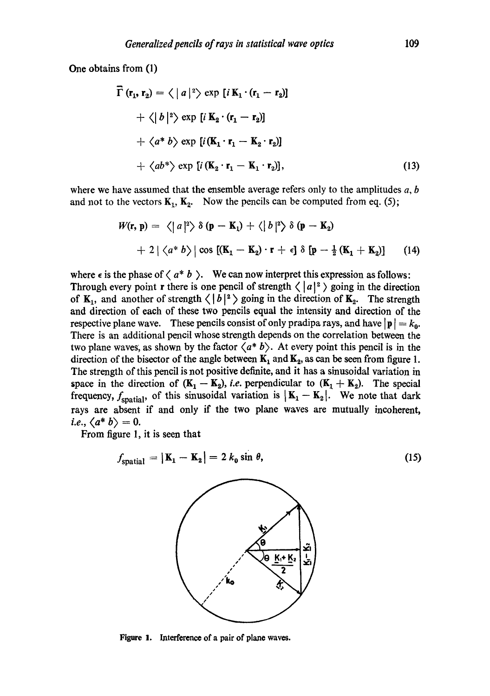One obtains from (1)

$$
\vec{\Gamma}(\mathbf{r}_1, \mathbf{r}_2) = \langle |a|^2 \rangle \exp[i \mathbf{K}_1 \cdot (\mathbf{r}_1 - \mathbf{r}_2)]
$$
  
+  $\langle |b|^2 \rangle \exp[i \mathbf{K}_2 \cdot (\mathbf{r}_1 - \mathbf{r}_2)]$   
+  $\langle a^* b \rangle \exp[i (\mathbf{K}_1 \cdot \mathbf{r}_1 - \mathbf{K}_2 \cdot \mathbf{r}_2)]$   
+  $\langle ab^* \rangle \exp[i (\mathbf{K}_2 \cdot \mathbf{r}_1 - \mathbf{K}_1 \cdot \mathbf{r}_2)],$  (13)

where we have assumed that the ensemble average refers only to the amplitudes  $a, b$ and not to the vectors  $K_1, K_2$ . Now the pencils can be computed from eq. (5);

$$
W(\mathbf{r}, \mathbf{p}) = \langle |a|^2 \rangle \delta(\mathbf{p} - \mathbf{K}_1) + \langle |b|^2 \rangle \delta(\mathbf{p} - \mathbf{K}_2)
$$
  
+ 2 |  $\langle a^* b \rangle$  | cos  $[(\mathbf{K}_1 - \mathbf{K}_2) \cdot \mathbf{r} + \epsilon]$   $\delta$  [ $\mathbf{p} - \frac{1}{2} (\mathbf{K}_1 + \mathbf{K}_2)$ ] (14)

where  $\epsilon$  is the phase of  $\langle a^* b \rangle$ . We can now interpret this expression as follows: Through every point r there is one pencil of strength  $\langle |a|^2 \rangle$  going in the direction of  $K_1$ , and another of strength  $\langle |b|^2 \rangle$  going in the direction of  $K_2$ . The strength and direction of each of these two pencils equal the intensity and direction of the respective plane wave. These pencils consist of only pradipa rays, and have  $|\mathbf{p}| = k_0$ . There is an additional pencil whose strength depends on the correlation between the two plane waves, as shown by the factor  $\langle a^* b \rangle$ . At every point this pencil is in the direction of the bisector of the angle between  $K_1$  and  $K_2$ , as can be seen from figure 1. The strength of this pencil is not positive definite, and it has a sinusoidal variation in space in the direction of  $(K_1 - K_2)$ , *i.e.* perpendicular to  $(K_1 + K_2)$ . The special frequency,  $f_{\text{spatial}}$ , of this sinusoidal variation is  $|\mathbf{K}_1 - \mathbf{K}_2|$ . We note that dark rays are absent if and only if the two plane waves are mutually incoherent, *i.e.,*  $\langle a^* b \rangle = 0$ .

From figure 1, it is seen that

$$
f_{\text{spatial}} = |\mathbf{k}_1 - \mathbf{k}_2| = 2 k_0 \sin \theta, \tag{15}
$$

Figure 1. Interference of a pair of plane waves.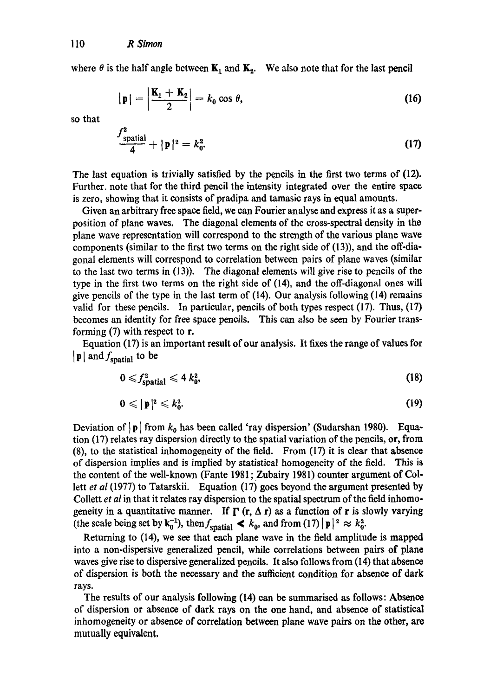where  $\theta$  is the half angle between  $\mathbf{K}_1$  and  $\mathbf{K}_2$ . We also note that for the last pencil

$$
|\mathbf{p}| = \left|\frac{\mathbf{K}_1 + \mathbf{K}_2}{2}\right| = k_0 \cos \theta, \tag{16}
$$

so that

$$
\frac{J_{\text{spatial}}^2}{4} + |\mathbf{p}|^2 = k_0^2. \tag{17}
$$

The last equation is trivially satisfied by the pencils in the first two terms of  $(12)$ . Further. note that for the third pencil the intensity integrated over the entire space is zero, showing that it consists of pradipa and tamasic rays in equal amounts.

Given an arbitrary free space field, we can Fourier analyse and express it as a superposition of plane waves. The diagonal elements of the cross-spectral density in the plane wave representation will correspond to the strength of the various plane wave components (similar to the first two terms on the right side of  $(13)$ ), and the off-diagonal elements will correspond to correlation between pairs of plane waves (similar to the last two terms in (13)). The diagonal elements will give rise to pencils of the type in the first two terms on the right side of (14), and the off-diagonal ones will give pencils of the type in the last term of (14). Our analysis following (14) remains valid for these pencils. In particular, pencils of both types respect  $(17)$ . Thus,  $(17)$ becomes an identity for free space pencils. This can also be seen by Fourier transforming (7) with respect to r.

Equation (17) is an important result of our analysis. It fixes the range of values for  $|{\bf p}|$  and  $f_{\rm spatial}$  to be

$$
0 \leqslant f_{\text{spatial}}^2 \leqslant 4 \, k_0^2, \tag{18}
$$

$$
0\leqslant |\mathbf{p}|^2\leqslant k_0^2. \hspace{1.5cm} (19)
$$

Deviation of  $|p|$  from  $k_0$  has been called 'ray dispersion' (Sudarshan 1980). Equation (17) relates ray dispersion directly to the spatial variation of the pencils, or, from (8), to the statistical inhomogeneity of the field. From (17) it is clear that absence of dispersion implies and is implied by statistical homogeneity of the field. This is the content of the well-known (Fante 1981; Zubairy 198 l) counter argument of Collett *et al* (1977) to Tatarskii. Equation (17) goes beyond the argument presented by Collett *et al* in that it relates ray dispersion to the spatial spectrum of the field inhomogeneity in a quantitative manner. If  $\Gamma$  (r,  $\Delta$  r) as a function of r is slowly varying (the scale being set by  $\mathbf{k}_0^{-1}$ ), then  $f_{\text{spatial}} < k_0$ , and from (17)  $|\mathbf{p}|^2 \approx k_0^2$ .

Returning to (14), we see that each plane wave in the field amplitude is mapped into a non-dispersive generalized pencil, while correlations between pairs of plane waves give rise to dispersive generalized pencils. It also follows from (14) that absence of dispersion is both the necessary and the sufficient condition for absence of dark rays.

The results of our analysis following (14) can be summarised as follows: Absence of dispersion or absence of dark rays on the one hand, and absence of statistical inhomogeneity or absence of correlation between plane wave pairs on the other, are mutually equivalent,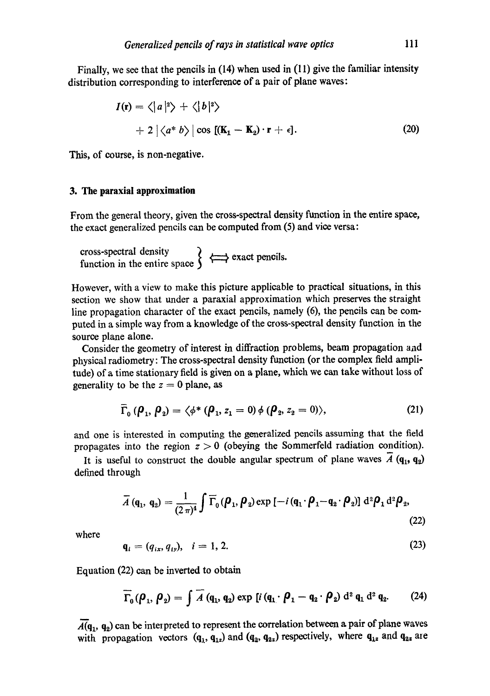Finally, we see that the pencils in (14) when used in (11) give the familiar intensity distribution corresponding to interference of a pair of plane waves:

$$
I(\mathbf{r}) = \langle |a|^2 \rangle + \langle |b|^2 \rangle
$$
  
+ 2 | \langle a^\* b \rangle | \cos [(K\_1 - K\_2) \cdot \mathbf{r} + \epsilon]. (20)

This, of course, is non-negative.

#### **3. The paraxial approximation**

From the general theory, given the cross-spectral density function in the entire space, the exact generalized pencils can be computed from (5) and vice versa:

cross-spectral density 1 function in the entire space  $\int$ 

However, with a view to make this picture applicable to practical situations, in this section we show that under a paraxial approximation which preserves the straight line propagation character of the exact pencils, namely (6), the pencils can be computed in a simple way from a knowledge of the cross-spectral density function in the source plane alone.

Consider the geometry of interest in diffraction problems, beam propagation aad physical radiometry: The cross-spectral density function (or the complex field amplitude) of a time stationary field is given on a plane, which we can take without loss of generality to be the  $z = 0$  plane, as

$$
\overline{\Gamma}_0 \left( \boldsymbol{\rho}_1, \boldsymbol{\rho}_2 \right) = \langle \phi^* \left( \boldsymbol{\rho}_1, z_1 = 0 \right) \phi \left( \boldsymbol{\rho}_2, z_2 = 0 \right) \rangle, \tag{21}
$$

and one is interested in computing the generalized pencils assuming that the field propagates into the region  $z > 0$  (obeying the Sommerfeld radiation condition).

It is useful to construct the double angular spectrum of plane waves  $\overline{A}$  (q<sub>1</sub>, q<sub>2</sub>) defined through

$$
\overline{A}(\mathbf{q}_1, \mathbf{q}_2) = \frac{1}{(2\pi)^4} \int \overline{\Gamma}_0(\boldsymbol{\rho}_1, \boldsymbol{\rho}_2) \exp\left[-i\left(\mathbf{q}_1 \cdot \boldsymbol{\rho}_1 - \mathbf{q}_2 \cdot \boldsymbol{\rho}_2\right)\right] d^2 \boldsymbol{\rho}_1 d^2 \boldsymbol{\rho}_2,
$$
\n(22)

**where** 

$$
\mathbf{q}_i = (q_{ix}, q_{iy}), \quad i = 1, 2. \tag{23}
$$

Equation (22) can be inverted to obtain

$$
\overline{\Gamma}_0(\boldsymbol{\rho}_1,\boldsymbol{\rho}_2)=\int \overline{A} \left(\mathbf{q}_1,\mathbf{q}_2\right) \exp \left[i \left(\mathbf{q}_1\cdot \boldsymbol{\rho}_1-\mathbf{q}_2\cdot \boldsymbol{\rho}_2\right) d^2 \mathbf{q}_1 d^2 \mathbf{q}_2. \right] \tag{24}
$$

 $\overline{A(q_1, q_2)}$  can be interpreted to represent the correlation between a pair of plane waves with propagation vectors  $(q_1, q_{1z})$  and  $(q_2, q_{2z})$  respectively, where  $q_{1z}$  and  $q_{2z}$  are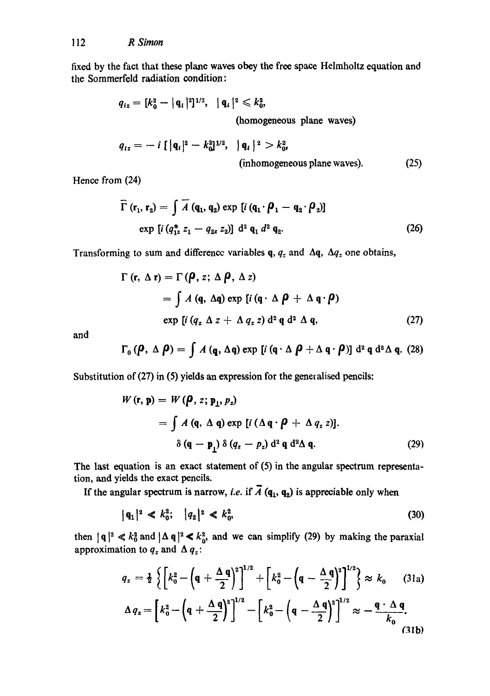fixed by the fact that these plane waves obey the free space Helmholtz equation and the Sommerfeld radiation condition:

$$
q_{iz} = [k_0^2 - |q_i|^2]^{1/2}, |q_i|^2 \le k_0^2,
$$
  
(homogeneous plane waves)

$$
q_{tz} = -i \left[ \left| \mathbf{q}_t \right|^2 - k_0^2 \right]^{1/2}, \quad \left| \mathbf{q}_t \right|^2 > k_0^2, \tag{25}
$$
\n(inhomogeneous plane waves).

Hence from (24)

$$
\begin{aligned}\n\overline{\Gamma}(\mathbf{r}_1, \mathbf{r}_2) &= \int \overline{A} \left( \mathbf{q}_1, \mathbf{q}_2 \right) \exp \left[ i \left( \mathbf{q}_1 \cdot \boldsymbol{\beta}_1 - \mathbf{q}_2 \cdot \boldsymbol{\beta}_2 \right) \right] \\
&\exp \left[ i \left( q_{1z}^* \ z_1 - q_{2z} \ z_2 \right) \right] \, \mathrm{d}^2 \, \mathbf{q}_1 \, d^2 \, \mathbf{q}_2.\n\end{aligned} \tag{26}
$$

Transforming to sum and difference variables q,  $q_z$  and  $\Delta q$ ,  $\Delta q_z$  one obtains,

$$
\Gamma(r, \Delta r) = \Gamma(\boldsymbol{\rho}, z; \Delta \boldsymbol{\rho}, \Delta z)
$$
  
=  $\int A(q, \Delta q) \exp [i (q \cdot \Delta \boldsymbol{\rho} + \Delta q \cdot \boldsymbol{\rho})$   
exp [i  $(q_z \Delta z + \Delta q_z z) d^2 q d^2 \Delta q$ , (27)

and

$$
\Gamma_0 (\boldsymbol{\rho}, \Delta \boldsymbol{\rho}) = \int A (\mathbf{q}, \Delta \mathbf{q}) \exp [i (\mathbf{q} \cdot \Delta \boldsymbol{\rho} + \Delta \mathbf{q} \cdot \boldsymbol{\rho})] d^2 \mathbf{q} d^2 \Delta \mathbf{q}. (28)
$$

Substitution of (27) in (5) yields an expression for the generalised pencils:

$$
W(\mathbf{r}, \mathbf{p}) = W(\boldsymbol{\rho}, z; \mathbf{p}_1, p_z)
$$
  
=  $\int A(\mathbf{q}, \Delta \mathbf{q}) \exp [i (\Delta \mathbf{q} \cdot \boldsymbol{\rho} + \Delta q_z z)].$   
 $\delta (\mathbf{q} - \mathbf{p}_1) \delta (q_z - p_z) d^2 \mathbf{q} d^2 \Delta \mathbf{q}.$  (29)

The last equation is an exact statement of (5) in the angular spectrum representation, and yields the exact pencils.

If the angular spectrum is narrow, *i.e.* if  $\overline{A}$  ( $q_1$ ,  $q_2$ ) is appreciable only when

$$
|q_1|^2 \ll k_0^2; \quad |q_2|^2 \ll k_0^2. \tag{30}
$$

then  $|q|^2 \ll k_0^2$  and  $|\Delta q|^2 \ll k_0^2$ , and we can simplify (29) by making the paraxial approximation to  $q_z$  and  $\Delta q_z$ :

$$
q_z = \frac{1}{2} \left\{ \left[ k_0^2 - \left( \mathbf{q} + \frac{\Delta \mathbf{q}}{2} \right)^2 \right]^{1/2} + \left[ k_0^2 - \left( \mathbf{q} - \frac{\Delta \mathbf{q}}{2} \right)^2 \right]^{1/2} \right\} \approx k_0 \quad (31a)
$$
  

$$
\Delta q_z = \left[ k_0^2 - \left( \mathbf{q} + \frac{\Delta \mathbf{q}}{2} \right)^2 \right]^{1/2} - \left[ k_0^2 - \left( \mathbf{q} - \frac{\Delta \mathbf{q}}{2} \right)^2 \right]^{1/2} \approx -\frac{\mathbf{q} \cdot \Delta \mathbf{q}}{k_0}.
$$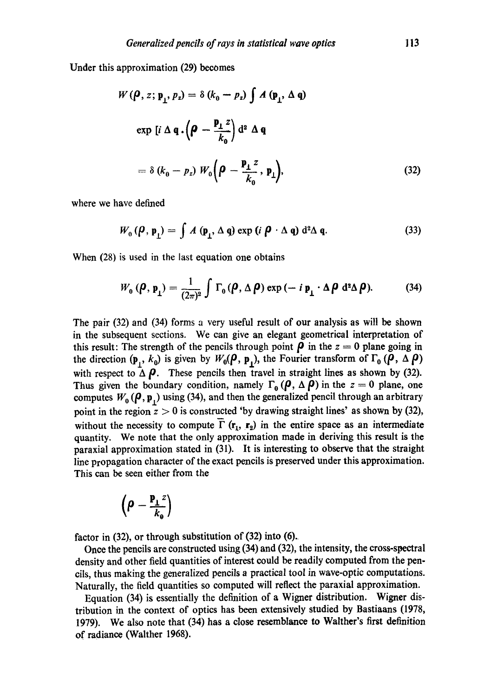Under this approximation (29) becomes

$$
W(\boldsymbol{\rho}, z; \mathbf{p}_1, p_z) = \delta (k_0 - p_z) \int A (\mathbf{p}_1, \Delta \mathbf{q})
$$
  
\n
$$
\exp [i \Delta \mathbf{q} \cdot (\boldsymbol{\rho} - \frac{\mathbf{p}_1 z}{k_0}) d^2 \Delta \mathbf{q}
$$
  
\n
$$
= \delta (k_0 - p_z) W_0 (\boldsymbol{\rho} - \frac{\mathbf{p}_1 z}{k_0}, \mathbf{p}_1),
$$
\n(32)

where we have defined

$$
W_0(\boldsymbol{\rho}, \mathbf{p}_1) = \int A(\mathbf{p}_1, \Delta \mathbf{q}) \exp (i \boldsymbol{\rho} \cdot \Delta \mathbf{q}) d^2 \Delta \mathbf{q}.
$$
 (33)

When (28) is used in the last equation one obtains

$$
W_0(\boldsymbol{\rho}, \mathbf{p}_1) = \frac{1}{(2\pi)^2} \int \Gamma_0(\boldsymbol{\rho}, \Delta \boldsymbol{\rho}) \exp(-i \, \mathbf{p}_1 \cdot \Delta \boldsymbol{\rho} \, d^2 \Delta \boldsymbol{\rho}). \tag{34}
$$

The pair (32) and (34) forms a very useful result of our analysis as will be shown in the subsequent sections. We can give an elegant geometrical interpretation of this result: The strength of the pencils through point  $\rho$  in the  $z = 0$  plane going in the direction  $(\mathbf{p}_1, k_0)$  is given by  $W_0(\rho, \mathbf{p}_1)$ , the Fourier transform of  $\Gamma_0 (\rho, \Delta \rho)$ with respect to  $\Delta \rho$ . These pencils then travel in straight lines as shown by (32). Thus given the boundary condition, namely  $\Gamma_0$  ( $\rho$ ,  $\Delta \rho$ ) in the  $z = 0$  plane, one computes  $W_0(\rho, \mathbf{p}_1)$  using (34), and then the generalized pencil through an arbitrary point in the region  $\bar{z} > 0$  is constructed 'by drawing straight lines' as shown by (32), without the necessity to compute  $\overline{\Gamma}$  ( $\mathbf{r}_1$ ,  $\mathbf{r}_2$ ) in the entire space as an intermediate quantity. We note that the only approximation made in deriving this result is the paraxial approximation stated in (31). It is interesting to observe that the straight line propagation character of the exact pencils is preserved under this approximation. This can be seen either from the

$$
\left(\rho-\frac{\mathbf{p_{\perp}}^{z}}{k_{\rm e}}\right)
$$

factor in (32), or through substitution of (32) into (6).

Once the pencils are constructed using (34) and (32), the intensity, the cross-spectral density and other field quantities of interest could be readily computed from the pencils, thus making the generalized pencils a practical tool in wave-optic computations. Naturally, the field quantities so computed will reflect the paraxial approximation.

Equation (34) is essentially the definition of a Wigner distribution. Wigner distribution in the context of optics has been extensively studied by Bastiaans (1978, 1979). We also note that (34) has a close resemblance to Walther's first definition of radiance (Walther 1968).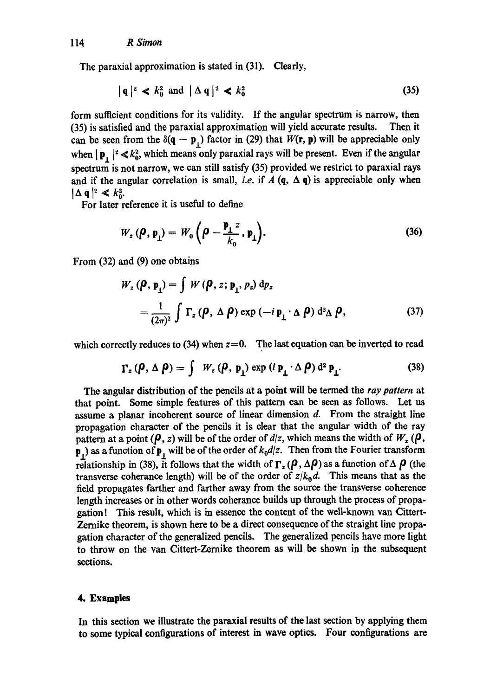The paraxial approximation is stated in (31). Clearly,

$$
|q|^2 < k_0^2 \text{ and } |\Delta q|^2 < k_0^2 \tag{35}
$$

form sufficient conditions for its validity. If the angular spectrum is narrow, then (35) is satisfied and the paraxial approximation will yield accurate results. Then it can be seen from the  $\delta(q - p_1)$  factor in (29) that  $W(r, p)$  will be appreciable only when  $|\mathbf{p}_\perp|^2 \ll k_0^2$ , which means only paraxial rays will be present. Even if the angular spectrum is not narrow, we can still satisfy (35) provided we restrict to paraxial rays and if the angular correlation is small, *i.e.* if  $A$  (q,  $\Delta$  q) is appreciable only when  $|\Delta q|^2 \ll k_0^2$ .

For later reference it is useful to define

$$
W_z(\boldsymbol{\rho}, \mathbf{p}_1) = W_0\left(\boldsymbol{\rho} - \frac{\mathbf{p}_1 z}{k_0}, \mathbf{p}_1\right). \tag{36}
$$

From (32) and (9) one obtains

$$
W_z(\boldsymbol{\rho}, \mathbf{p}_1) = \int W(\boldsymbol{\rho}, z; \mathbf{p}_1, p_z) d\rho_z
$$
  
= 
$$
\frac{1}{(2\pi)^2} \int \Gamma_z(\boldsymbol{\rho}, \Delta \boldsymbol{\rho}) \exp(-i \mathbf{p}_1 \cdot \Delta \boldsymbol{\rho}) d^2 \Delta \boldsymbol{\rho},
$$
 (37)

which correctly reduces to  $(34)$  when  $z=0$ . The last equation can be inverted to read

$$
\Gamma_z(\boldsymbol{\rho}, \Delta \boldsymbol{\rho}) = \int W_z(\boldsymbol{\rho}, \mathbf{p}_1) \exp(i \mathbf{p}_\perp \cdot \Delta \boldsymbol{\rho}) d^2 \mathbf{p}_\perp.
$$
 (38)

The angular distribution of the pencils at a point will be termed the *ray pattern* at that point. Some simple features of this pattern can be seen as follows. Let us assume a planar incoherent source of linear dimension  $d$ . From the straight line propagation character of the pencils it is clear that the angular width of the ray pattern at a point ( $\rho$ , *z*) will be of the order of *d*/*z*, which means the width of  $W_z$  ( $\rho$ , p.) as a function of p<sub>i</sub> will be of the order of  $k_0d/z$ . Then from the Fourier transform relationship in (38), it follows that the width of  $\Gamma_z (\rho, \Delta \rho)$  as a function of  $\Delta \rho$  (the transverse coherance length) will be of the order of  $z/k_0 d$ . This means that as the field propagates farther and farther away from the source the transverse coherence length increases or in other words coherance builds up through the process of propagation! This result, which is in essence the content of the weU-known van Cittert-Zernike theorem, is shown here to be a direct consequence of the straight line propagation character of the generalized pencils. The generalized pencils have more light to throw on the van Cittert-Zernike theorem as will be shown in the subsequent sections.

## **4. Examples**

In this section we illustrate the paraxial results of the last section by applying them to some typical configurations of interest in wave optics. Four configurations are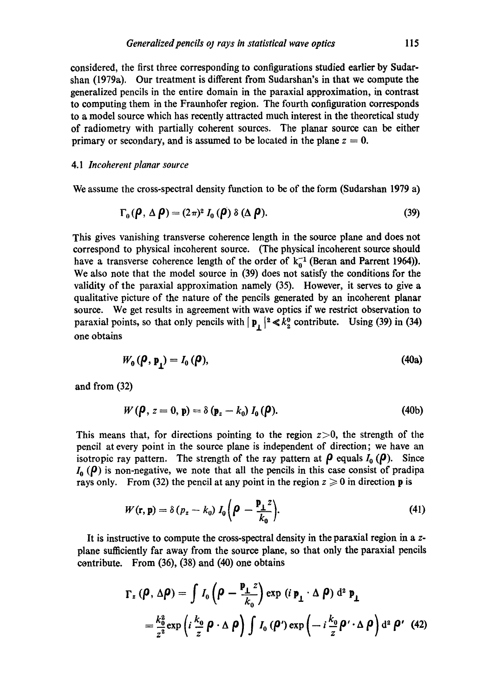considered, the first three corresponding to configurations studied earlier by Sudarshan (1979a). Our treatment is different from Sudarshan's in that we compute the generalized pencils in the entire domain in the paraxial approximation, in contrast to computing them in the Fraunhofer region. The fourth configuration corresponds to a model source which has recently attracted much interest in the theoretical study of radiometry with partially coherent sources. The planar source can be either primary or secondary, and is assumed to be located in the plane  $z = 0$ .

## *4.1 Incoherent planar source*

We assume the cross-spectral density function to be of the form (Sudarshan 1979 a)

$$
\Gamma_0(\boldsymbol{\rho}, \Delta \boldsymbol{\rho}) = (2\pi)^2 I_0(\boldsymbol{\rho}) \delta (\Delta \boldsymbol{\rho}). \tag{39}
$$

This gives vanishing transverse coherence length in the source plane and does not correspond to physical incoherent source. (The physical incoherent source should have a transverse coherence length of the order of  $k_0^{-1}$  (Beran and Parrent 1964)). We also note that the model source in (39) does not satisfy the conditions for the validity of the paraxial approximation namely (35). However, it serves to give a qualitative picture of the nature of the pencils generated by an incoherent planar source. We get results in agreement with wave optics if we restrict observation to paraxial points, so that only pencils with  $\vert \mathbf{p}_{\perp} \vert^2 \ll k_2^0$  contribute. Using (39) in (34) one obtains

$$
W_0(\boldsymbol{\rho}, \mathbf{p}_i) = I_0(\boldsymbol{\rho}), \tag{40a}
$$

and from (32)

$$
W(\boldsymbol{\rho}, z = 0, \mathbf{p}) = \delta(\mathbf{p}_z - k_0) I_0(\boldsymbol{\rho}). \qquad (40b)
$$

This means that, for directions pointing to the region  $z > 0$ , the strength of the pencil at every point in the source plane is independent of direction; we have an isotropic ray pattern. The strength of the ray pattern at  $\rho$  equals  $I_0(\rho)$ . Since  $I_0$  ( $\rho$ ) is non-negative, we note that all the pencils in this case consist of pradipa rays only. From (32) the pencil at any point in the region  $z \ge 0$  in direction **p** is

$$
W(\mathbf{r}, \mathbf{p}) = \delta (p_z - k_0) I_0 \bigg( \boldsymbol{\rho} - \frac{\mathbf{p}_\perp z}{k_0} \bigg). \tag{41}
$$

It is instructive to compute the cross-spectral density in the paraxial region in a zplane sufficiently far away from the source plane, so that only the paraxial pencils contribute. From (36), (38) and (40) one obtains

$$
\Gamma_z (\rho, \Delta \rho) = \int I_0 \left( \rho - \frac{\mathbf{p}_1 z}{k_0} \right) \exp \left( i \, \mathbf{p}_1 \cdot \Delta \, \rho \right) d^2 \, \mathbf{p}_1
$$
\n
$$
= \frac{k_0^2}{z^2} \exp \left( i \, \frac{k_0}{z} \, \rho \cdot \Delta \, \rho \right) \int I_0 \left( \rho' \right) \exp \left( - i \, \frac{k_0}{z} \, \rho' \cdot \Delta \, \rho \right) d^2 \, \rho' \tag{42}
$$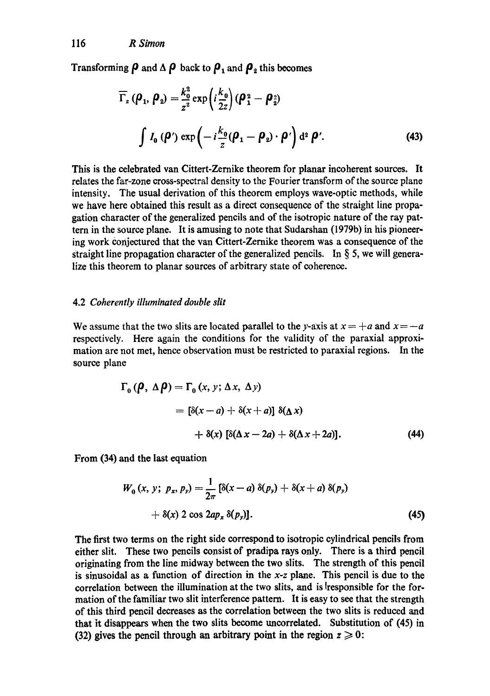Transforming  $\rho$  and  $\Delta \rho$  back to  $\rho_1$  and  $\rho_2$  this becomes

$$
\overline{\Gamma}_z \left( \boldsymbol{\rho}_1, \boldsymbol{\rho}_2 \right) = \frac{k_0^2}{z^2} \exp \left( i \frac{k_0}{2z} \right) \left( \boldsymbol{\rho}_1^2 - \boldsymbol{\rho}_2^2 \right)
$$
\n
$$
\int I_0 \left( \boldsymbol{\rho}' \right) \exp \left( -i \frac{k_0}{z} (\boldsymbol{\rho}_1 - \boldsymbol{\rho}_2) \cdot \boldsymbol{\rho}' \right) d^2 \boldsymbol{\rho}'. \tag{43}
$$

This is the celebrated van Cittert-Zernike theorem for planar incoherent sources. It relates the far-zone cross-spectral density to the Fourier transform of the source plane intensity. The usual derivation of this theorem employs wave-optic methods, while we have here obtained this result as a direct consequence of the straight line propagation character of the generalized pencils and of the isotropic nature of the ray pattern in the source plane. It is amusing to note that Sudarshan (1979b) in his pioneering work Conjectured that the van Cittert-Zemike theorem was a consequence of the straight line propagation character of the generalized pencils. In  $\S$  5, we will generalize this theorem to planar sources of arbitrary state of coherence.

### 4.2 *Coherently illuminated double slit*

We assume that the two slits are located parallel to the y-axis at  $x = +a$  and  $x = -a$ respectively. Here again the conditions for the validity of the paraxial approximation are not met, hence observation must be restricted to paraxial regions. In the source plane

$$
\Gamma_0 (\boldsymbol{\rho}, \Delta \boldsymbol{\rho}) = \Gamma_0 (x, y; \Delta x, \Delta y)
$$
  
=  $[\delta(x-a) + \delta(x+a)] \delta(\Delta x)$   
+  $\delta(x) [\delta(\Delta x - 2a) + \delta(\Delta x + 2a)].$  (44)

From (34) and the last equation

$$
W_0(x, y; p_x, p_y) = \frac{1}{2\pi} \left[ \delta(x-a) \, \delta(p_y) + \delta(x+a) \, \delta(p_y) \right. \\ + \delta(x) \, 2 \cos 2ap_x \, \delta(p_y) ]. \tag{45}
$$

The first two terms on the right side correspond to isotropic cylindrical pencils from either slit. These two pencils consist of pradipa rays only. There is a third pencil originating from the line midway between the two slits. The strength of this pencil is sinusoidal as a function of direction in the *x-z* plane. This pencil is due to the correlation between the illumination at the two slits, and is lresponsible for the formation of the familiar two slit interference pattern. It is easy to see that the strength of this third pencil decreases as the correlation between the two slits is reduced and that it disappears when the two slits become uncorrelated. Substitution of (45) in (32) gives the pencil through an arbitrary point in the region  $z \geq 0$ :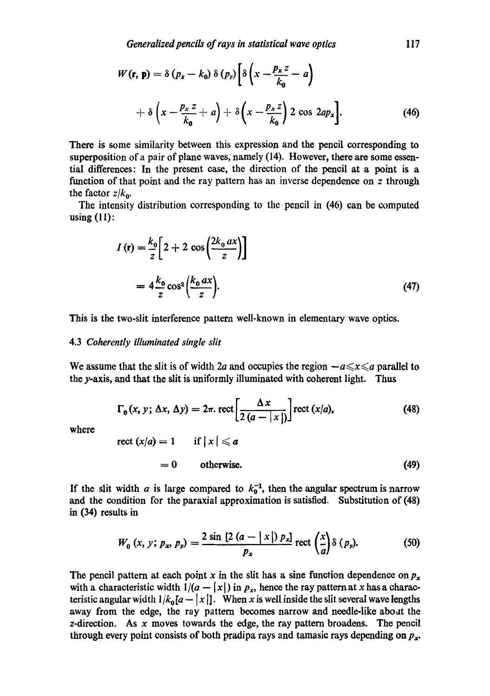$$
W(\mathbf{r}, \mathbf{p}) = \delta (p_z - k_0) \delta (p_y) \left[ \delta \left( x - \frac{p_x z}{k_0} - a \right) + \delta \left( x - \frac{p_x z}{k_0} + a \right) + \delta \left( x - \frac{p_x z}{k_0} \right) 2 \cos 2ap_x \right].
$$
 (46)

There is some similarity between this expression and the pencil corresponding to superposition of a pair of plane waves, namely (14). However, there are some essential differences: In the present case, the direction of the pencil at a point is a function of that point and the ray pattern has an inverse dependence on z through the factor  $z/k_0$ .

The intensity distribution corresponding to the pencil in (46) can be computed using (11):

$$
I(r) = \frac{k_0}{z} \left[ 2 + 2 \cos\left(\frac{2k_0 \, ax}{z}\right) \right]
$$

$$
= 4 \frac{k_0}{z} \cos^2\left(\frac{k_0 \, ax}{z}\right).
$$
(47)

This is the two-slit interference pattern well-known in elementary wave optics.

#### 4.3 *Coherently illuminated single slit*

We assume that the slit is of width 2a and occupies the region  $-a \le x \le a$  parallel to the y-axis, and that the slit is uniformly illuminated with coherent light. Thus

$$
\Gamma_0(x, y; \Delta x, \Delta y) = 2\pi.\,\text{rect}\left[\frac{\Delta x}{2(a-|x|)}\right]\text{rect}(x/a),\tag{48}
$$

where

rect 
$$
(x/a) = 1
$$
 if  $|x| \le a$   
= 0 otherwise. (49)

If the slit width a is large compared to  $k_0^{-1}$ , then the angular spectrum is narrow and the condition for the paraxiaI approximation is satisfied. Substitution of (48) in (34) results in

$$
W_0(x, y; p_x, p_y) = \frac{2 \sin \left[2 \left(a - \left| x \right| \right) p_x\right]}{p_x} \operatorname{rect}\left(\frac{x}{a}\right) \delta(p_y). \tag{50}
$$

The pencil pattern at each point x in the slit has a sine function dependence on  $p_x$ with a characteristic width  $1/(a - |x|)$  in  $p_x$ , hence the ray pattern at x has a characteristic angular width  $1/k_0[a-|x|]$ . When x is well inside the slit several wave lengths away from the edge, the ray pattern becomes narrow and needle-like aboat the  $z$ -direction. As x moves towards the edge, the ray pattern broadens. The pencil through every point consists of both pradipa rays and tamasic rays depending on  $p_{x}$ .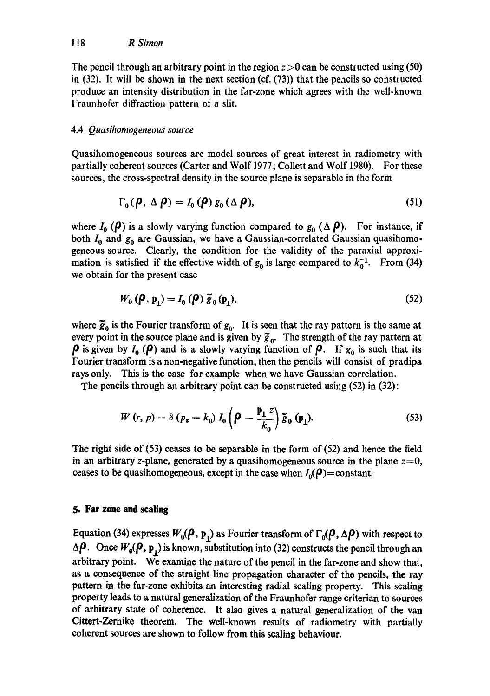The pencil through an arbitrary point in the region  $z>0$  can be constructed using (50) in  $(32)$ . It will be shown in the next section (cf.  $(73)$ ) that the pencils so constructed produce an intensity distribution in the far-zone which agrees with the well-known Fraunhofer diffraction pattern of a slit.

# 4.4 *Quasihomogeneous source*

Quasihomogeneous sources are model sources of great interest in radiometry with partially coherent sources (Carter and Wolf 1977; Collett and Wolf 1980). For these sources, the cross-spectral density in the source plane is separable in the form

$$
\Gamma_0(\boldsymbol{\rho}, \Delta \boldsymbol{\rho}) = I_0(\boldsymbol{\rho}) g_0(\Delta \boldsymbol{\rho}), \qquad (51)
$$

where  $I_0(\rho)$  is a slowly varying function compared to  $g_0$  ( $\Delta \rho$ ). For instance, if both  $I_0$  and  $g_0$  are Gaussian, we have a Gaussian-correlated Gaussian quasihomogeneous source. Clearly, the condition for the validity of the paraxial approximation is satisfied if the effective width of  $g_0$  is large compared to  $k_0^{-1}$ . From (34) we obtain for the present case

$$
W_0(\boldsymbol{\rho}, \mathbf{p}_1) = I_0(\boldsymbol{\rho}) \, \widetilde{\boldsymbol{g}}_0(\mathbf{p}_1), \tag{52}
$$

where  $\bar{g}_0$  is the Fourier transform of  $g_0$ . It is seen that the ray pattern is the same at every point in the source plane and is given by  $\tilde{g}_0$ . The strength of the ray pattern at  $\rho$  is given by  $I_0$  ( $\rho$ ) and is a slowly varying function of  $\rho$ . If  $g_0$  is such that its Fourier transform is a non-negative function, then the pencils will consist of pradipa rays only. This is the case for example when we have Gaussian correlation.

The pencils through an arbitrary point can be constructed using (52) in (32):

$$
W(r, p) = \delta (p_z - k_0) I_0 \left( \boldsymbol{\rho} - \frac{\mathbf{p}_1 z}{k_0} \right) \tilde{\mathbf{g}}_0 (\mathbf{p}_1). \tag{53}
$$

The right side of (53) ceases to be separable in the form of (52) and hence the field in an arbitrary *z*-plane, generated by a quasihomogeneous source in the plane  $z=0$ , ceases to be quasihomogeneous, except in the case when  $I_0(\boldsymbol{\rho})$  = constant.

# **5. Far zone and scaling**

Equation (34) expresses  $W_0(\rho, \mathbf{p}_1)$  as Fourier transform of  $\Gamma_0(\rho, \Delta \rho)$  with respect to  $\Delta \rho$ . Once  $W_0(\rho, \mathbf{p}_1)$  is known, substitution into (32) constructs the pencil through an arbitrary point. We examine the nature of the pencil in the far-zone and show that, as a consequence of the straight line propagation character of the pencils, the ray pattern in the far-zone exhibits an interesting radial scaling property. This scaling property leads to a natural generalization of the Fraunhofer range criterian to sources of arbitrary state of coherence. It also gives a natural generalization of the van Cittert-Zernike theorem. The well-known results of radiometry with partially coherent sources are shown to follow from this scaling behaviour.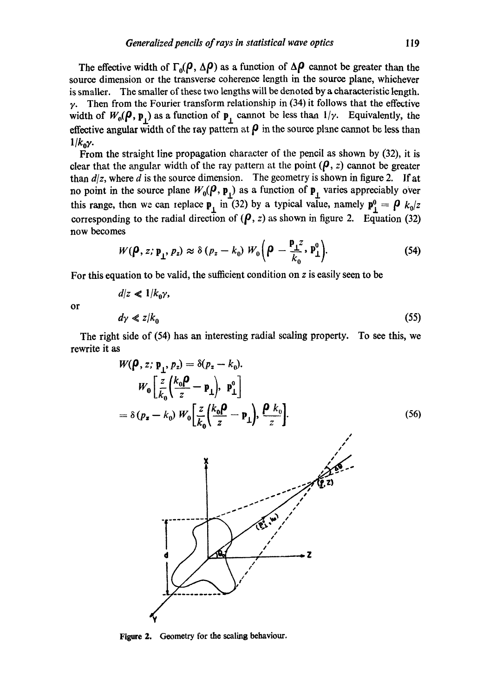The effective width of  $\Gamma_0(P, \Delta P)$  as a function of  $\Delta P$  cannot be greater than the source dimension or the transverse coherence length in the source plane, whichever is smaller. The smaller of these two lengths will be denoted by a characteristic length.  $\gamma$ . Then from the Fourier transform relationship in (34) it follows that the effective width of  $W_0(\rho, \mathbf{p}_1)$  as a function of  $\mathbf{p}_1$  cannot be less than  $1/\gamma$ . Equivalently, the effective angular width of the ray pattern at  $\rho$  in the source plane cannot be less than  $1/k_0y$ .

From the straight line propagation character of the pencil as shown by (32), it is clear that the angular width of the ray pattern at the point  $(\rho, z)$  cannot be greater than  $d/z$ , where d is the source dimension. The geometry is shown in figure 2. If at no point in the source plane  $W_0(\rho, \mathbf{p}_1)$  as a function of  $\mathbf{p}_1$  varies appreciably over this range, then we can replace  $\mathbf{p}_1$  in (32) by a typical value, namely  $\mathbf{p}_1^0 = \boldsymbol{\rho} k_0/z$ corresponding to the radial direction of  $(\rho, z)$  as shown in figure 2. Equation (32) now becomes

$$
W(\boldsymbol{\rho}, z; \mathbf{p}_1, p_z) \approx \delta (p_z - k_0) W_0 \left( \boldsymbol{\rho} - \frac{\mathbf{p}_1 z}{k_0}, \mathbf{p}_1^0 \right).
$$
 (54)

For this equation to be valid, the sufficient condition on z is easily seen to be

or

$$
d/z \ll 1/k_0 \gamma,
$$
  
\n
$$
d\gamma \ll z/k_0
$$
\n(55)

The right side of (54) has an interesting radial sealing property. To see this, we rewrite it as

$$
W(\boldsymbol{\rho}, z; \mathbf{p}_1, p_z) = \delta(p_z - k_0).
$$
\n
$$
W_0 \left[ \frac{z}{k_0} \left( \frac{k_0 \boldsymbol{\rho}}{z} - \mathbf{p}_1 \right), \mathbf{p}_1^0 \right]
$$
\n
$$
= \delta(p_z - k_0) W_0 \left[ \frac{z}{k_0} \left( \frac{k_0 \boldsymbol{\rho}}{z} - \mathbf{p}_1 \right), \frac{\boldsymbol{\rho}}{z} \right].
$$
\n(56)

Figure 2. Geometry for the scaling behaviour.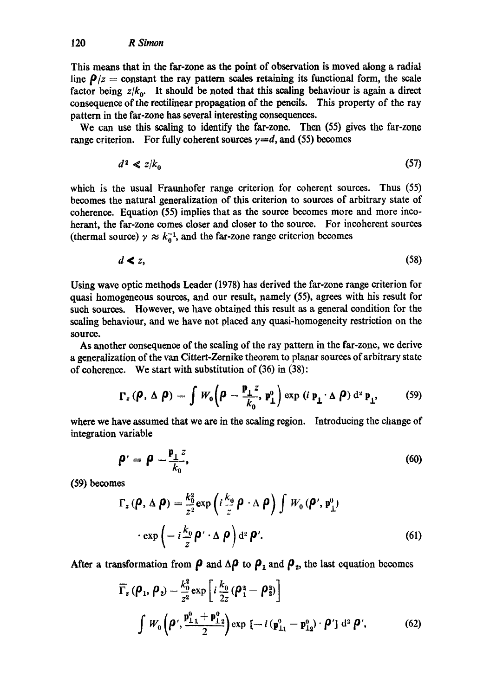This means that in the far-zone as the point of observation is moved along a radial line  $\rho/z =$  constant the ray pattern scales retaining its functional form, the scale factor being  $z/k_0$ . It should be noted that this scaling behaviour is again a direct consequence of the rectilinear propagation of the pencils. This property of the ray pattern in the far-zone has several interesting consequences.

We can use this scaling to identify the far-zone. Then (55) gives the far-zone range criterion. For fully coherent sources  $y=d$ , and (55) becomes

$$
d^2 \ll z/k_0 \tag{57}
$$

which is the usual Fraunhofer range criterion for coherent sources. Thus (55) becomes the natural generalization of this criterion to sources of arbitrary state of coherence. Equation (55) implies that as the source becomes more and more incoherant, the far-zone comes closer and closer to the source. For incoherent sources (thermal source)  $\gamma \approx k_0^{-1}$ , and the far-zone range criterion becomes

$$
d \blacktriangleleft z, \tag{58}
$$

Using wave optic methods Leader (1978) has derived the far-zone range criterion for quasi homogeneous Sources, and our result, namely (55), agrees with his result for such sources. However, we have obtained this result as a general condition for the scaling behaviour, and we have not placed any quasi-homogeneity restriction on the source.

As another consequence of the scaling of the ray pattern in the far-zone, we derive a generalization of the van Cittert-Zcrnike theorem to planar sources of arbitrary state of coherence. We start with substitution of (36) in (38):

$$
\Gamma_z(\boldsymbol{\rho}, \Delta \boldsymbol{\rho}) = \int W_0 \left( \boldsymbol{\rho} - \frac{\mathbf{p}_\perp z}{k_0}, \mathbf{p}_\perp^0 \right) \exp \left( i \, \mathbf{p}_\perp \cdot \Delta \boldsymbol{\rho} \right) d^2 \, \mathbf{p}_\perp, \tag{59}
$$

where we have assumed that we are in the scaling region. Introducing the change of integration variable

$$
\boldsymbol{\rho}' = \boldsymbol{\rho} - \frac{\mathbf{p}_\perp z}{k_0},\tag{60}
$$

(59) becomes

$$
\Gamma_z(\boldsymbol{\rho}, \Delta \boldsymbol{\rho}) = \frac{k_0^2}{z^2} \exp\left(i \frac{k_0}{z} \boldsymbol{\rho} \cdot \Delta \boldsymbol{\rho}\right) \int W_0(\boldsymbol{\rho}', \mathbf{p}_\perp^0) \cdot \exp\left(-i \frac{k_0}{z} \boldsymbol{\rho}' \cdot \Delta \boldsymbol{\rho}\right) d^2 \boldsymbol{\rho}'. \tag{61}
$$

After a transformation from  $\rho$  and  $\Delta \rho$  to  $\rho_1$  and  $\rho_2$ , the last equation becomes

$$
\overline{\Gamma}_z \left( \boldsymbol{\rho}_1, \boldsymbol{\rho}_2 \right) = \frac{k_0^2}{z^2} \exp \left[ i \frac{k_0}{2z} \left( \boldsymbol{\rho}_1^2 - \boldsymbol{\rho}_2^2 \right) \right]
$$
\n
$$
\int W_0 \left( \boldsymbol{\rho}', \frac{\mathbf{p}_{11}^0 + \mathbf{p}_{12}^0}{2} \right) \exp \left[ -i \left( \mathbf{p}_{11}^0 - \mathbf{p}_{12}^0 \right) \cdot \boldsymbol{\rho}' \right] d^2 \boldsymbol{\rho}', \tag{62}
$$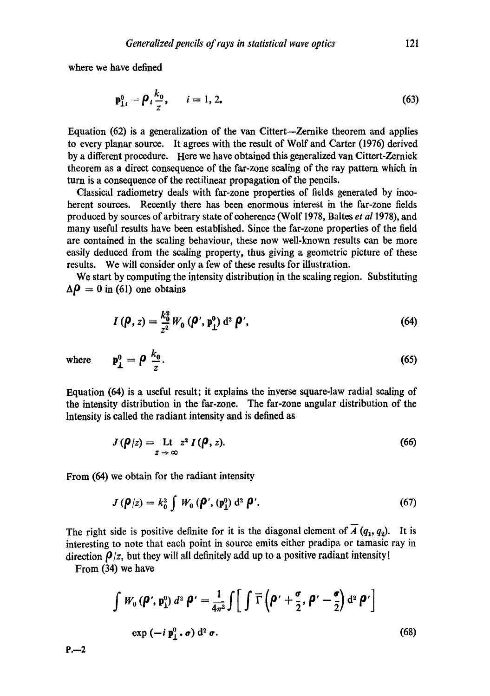where we have defined

$$
\mathbf{p}_{1i}^0 = \boldsymbol{\rho}_i \frac{k_0}{z}, \qquad i = 1, 2.
$$
 (63)

Equation (62) is a generalization of the van Cittert--Zernike theorem and applies to every planar source. It agrees with the result of Wolf and Carter (1976) derived by a different procedure. Here we have obtained this generalized van Cittert-Zerniek theorem as a direct consequence of the far-zone scaling of the ray pattern which in turn is a consequence of the rectilineaz propagation of the pencils.

Classical radiometry deals with far-zone properties of fields generated by incoherent sources. Recently there has been enormous interest in the far-zone fields produced by sources of arbitrary state of coherence (Wolf 1978, Baltes *et al* 1978), and many useful results have been established. Since the far-zone properties of the field are contained in the scaling behaviour, these now well-known results can be more easily deduced from the scaling property, thus giving a geometric picture of these results. We will consider only a few of these results for illustration.

We start by computing the intensity distribution in the scaling region. Substituting  $\Delta \rho = 0$  in (61) one obtains

$$
I(\boldsymbol{\rho}, z) = \frac{k_0^2}{z^2} W_0(\boldsymbol{\rho}', \mathbf{p}_\perp^0) d^2 \boldsymbol{\rho}', \qquad (64)
$$

where  $p_i^0 = \rho \stackrel{A_0}{=} 0$ . (65)

z Equation (64) is a useful result; it explains the inverse square-law radial scaling of

the intensity distribution in the far-zone. The far-zone angular distribution of the Intensity is called the radiant intensity and is defined as

$$
J(\boldsymbol{\rho}|z) = \underset{z \to \infty}{\text{Lt}} \, z^2 \, I(\boldsymbol{\rho}, z). \tag{66}
$$

From (64) we obtain for the radiant intensity

$$
J(\boldsymbol{\rho}/z) = k_0^2 \int W_0(\boldsymbol{\rho}', (\mathbf{p}_1^0) \, \mathrm{d}^2 \, \boldsymbol{\rho}'. \tag{67}
$$

The right side is positive definite for it is the diagonal element of  $\overline{A}(q_1, q_2)$ . It is interesting to note that each point in source emits either pradipa, or tamasic ray in direction  $\rho/z$ , but they will all definitely add up to a positive radiant intensity!

From (34) we have

$$
\int W_0 (\boldsymbol{\rho}', \mathbf{p}_1^0) d^2 \boldsymbol{\rho}' = \frac{1}{4\pi^2} \int \left[ \int \overline{\Gamma} \left( \boldsymbol{\rho}' + \frac{\boldsymbol{\sigma}}{2}, \boldsymbol{\rho}' - \frac{\boldsymbol{\sigma}}{2} \right) d^2 \boldsymbol{\rho}' \right]
$$
  
exp  $(-i \mathbf{p}_1^0, \boldsymbol{\sigma}) d^2 \boldsymbol{\sigma}$ . (68)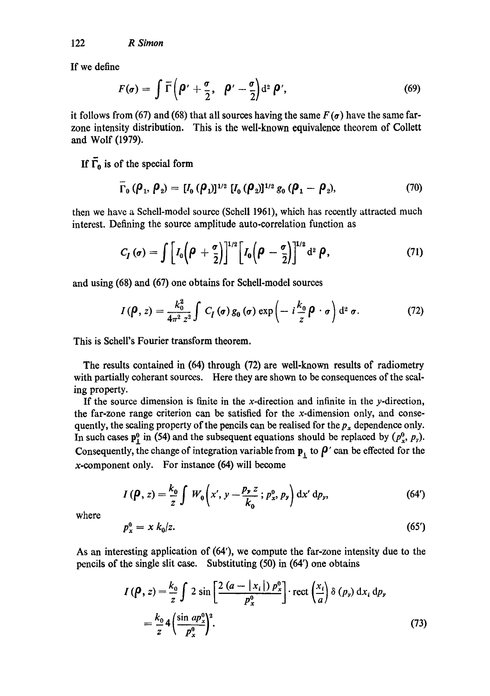122 *R Simon* 

If we define

$$
F(\sigma) = \int \overline{\Gamma}\left(\boldsymbol{\rho}' + \frac{\sigma}{2}, \boldsymbol{\rho}' - \frac{\sigma}{2}\right) d^2 \boldsymbol{\rho}', \qquad (69)
$$

it follows from (67) and (68) that all sources having the same  $F(\sigma)$  have the same farzone intensity distribution. This is the well-known equivalence theorem of Collett and Wolf (1979).

If  $\overline{\Gamma}_0$  is of the special form

$$
\Gamma_0 (\rho_1, \rho_2) = [I_0 (\rho_1)]^{1/2} [I_0 (\rho_2)]^{1/2} g_0 (\rho_1 - \rho_2), \qquad (70)
$$

then we have a Schell-model source (Schell 1961), which has recently attracted much interest. Defining the source amplitude auto-correlation function as

$$
C_I(\sigma) = \int \left[I_0\left(\boldsymbol{\rho} + \frac{\sigma}{2}\right)\right]^{1/2} \left[I_0\left(\boldsymbol{\rho} - \frac{\sigma}{2}\right)\right]^{1/2} d^2 \boldsymbol{\rho}, \qquad (71)
$$

and using (68) and (67) one obtains for Schdl-model sources

$$
I(\boldsymbol{\rho}, z) = \frac{k_0^2}{4\pi^2 z^2} \int C_I(\boldsymbol{\sigma}) g_0(\boldsymbol{\sigma}) \exp\left(-i\frac{k_0}{z}\boldsymbol{\rho} \cdot \boldsymbol{\sigma}\right) d^2 \boldsymbol{\sigma}.
$$
 (72)

This is Schell's Fourier transform theorem.

The results contained in (64) through (72) are well-known results of radiometry with partially coherant sources. Here they are shown to be consequences of the scaling property.

If the source dimension is finite in the x-direction and infinite in the y-direction, the far-zone range criterion can be satisfied for the x-dimension only, and consequently, the scaling property of the pencils can be realised for the  $p_x$  dependence only. In such cases  $p_1^0$  in (54) and the subsequent equations should be replaced by  $(p_x^0, p_y)$ . Consequently, the change of integration variable from  $\mathbf{p}_1$  to  $\boldsymbol{\beta}'$  can be effected for the x-component only. For instance (64) will become

$$
I(\boldsymbol{\rho}, z) = \frac{k_0}{z} \int W_0 \left( x', y - \frac{p_y z}{k_0} ; p_x^0, p_y \right) dx' dp_y, \qquad (64')
$$

where

$$
p_x^0 = x k_0/z. \tag{65'}
$$

As an interesting application of (64'), we compute the far-zone intensity due to the pencils of the single slit case. Substituting (50) in (64') one obtains

$$
I(\boldsymbol{\rho}, z) = \frac{k_0}{z} \int 2 \sin \left[ \frac{2 (a - |x_i|) p_x^0}{p_x^0} \right] \cdot \text{rect}\left(\frac{x_i}{a}\right) \delta(p_y) dx_i dp_y
$$
  
=  $\frac{k_0}{z} 4 \left( \frac{\sin ap_x^0}{p_x^0} \right)^2$ . (73)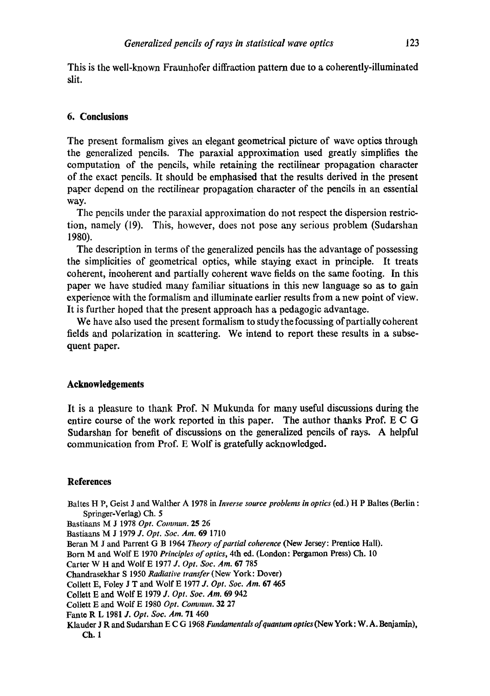This is the well-known Fraunhofer diffraction pattern due to a coherently-iUuminated slit.

# **6. Conclusions**

The present formalism gives an elegant geometrical picture of wave optics through the generalized pencils. The paraxial approximation used greatly simplifies the computation of the pencils, while retaining the rectilinear propagation character of the exact pencils. It should be emphasised that the results derived in the present paper depend on the rectilinear propagation character of the pencils in an essential way.

The pencils under the paraxial approximation do not respect the dispersion restriction, namely (19). This, however, does not pose any serious problem (Sudarshan 1980).

The description in terms of the generalized pencils has the advantage of possessing the simplicities of geometrical optics, while staying exact in principle. It treats coherent, incoherent and partially coherent wave fields on the same footing. In this paper we have studied many familiar situations in this new language so as to gain experience with the formalism and illuminate earlier results from a new point of view. It is further hoped that the present approach has a pedagogic advantage.

We have also used the present formalism to study the focussing of partially coherent fields and polarization in scattering. We intend to report these results in a subsequent paper.

## **Acknowledgements**

It is a pleasure to thank Prof. N Mukunda for many useful discussions during the entire course of the work reported in this paper. The author thanks Prof. E C G Sudarshan for benefit of discussions on the generalized pencils of rays. A helpful communication from Prof. E Wolf is gratefully acknowledged.

## **References**

Baltes H P, Geist J and Walther A 1978 in *Inverse source problems in optics* (ed.) H P Baltes (Berlin : Springer-Verlag) Ch. 5

Bastiaans M J 1978 *Opt. Commun.* 25 26

- Bastiaans M J 1979 *J. Opt. Soc. Am.* 69 1710
- Beran M J and Parrent G B 1964 *Theory of partial coherence* (New Jersey: Prentice Hall).
- Born M and Wolf E 1970 *Principles of optics,* 4th ed. (London: Pergamon Press) Ch. 10

Carter W H and Wolf E 1977 *J. Opt. Soc. Am.* 67 785

Chandrasekhar S 1950 *Radiative transfer* (New York: Dover)

Collett E, Foley J T and Wolf E 1977 *J. Opt. Soc. Am.* 67 465

- Collett E and Wolf E 1979 *J. Opt. Soc. Am.* 69 942
- CoUett E and Wolf E 1980 *Opt. Commun.* 32 27

Fantc R L 1981 *J. Opt. Soc. Am.* 71 460

Klauder J R and Sudarshan E C G 1968 *Fundamentals ofquantam optlcs(New* York: W. A. Benjamin), **Ch. 1**